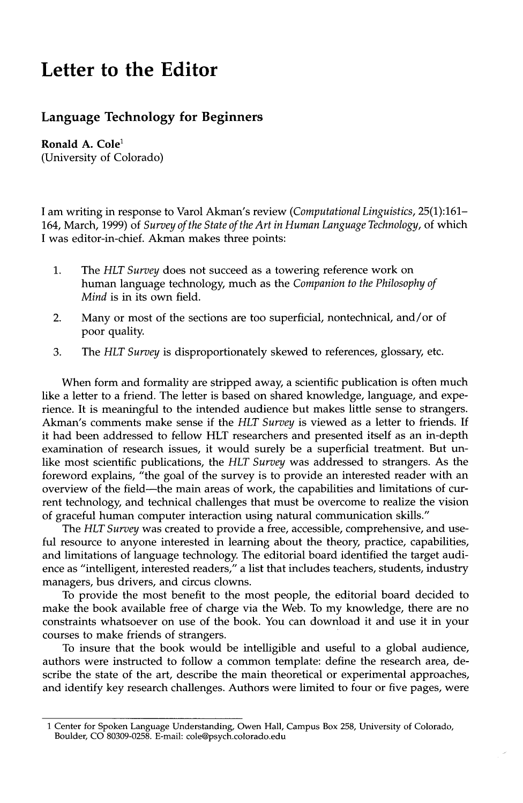## **Letter to the Editor**

## **Language Technology for Beginners**

**Ronald A. Cole<sup>1</sup>** (University of Colorado)

I am writing in response to Varol Akman's review *(Computational Linguistics,* 25(1):161- 164, March, 1999) of *Survey of the State of the Art in Human Language Technology,* of which I was editor-in-chief. Akman makes three points:

- 1. The *HLT Survey* does not succeed as a towering reference work on human language technology, much as the *Companion to the Philosophy of Mind* is in its own field.
- 2. Many or most of the sections are too superficial, nontechnical, and/or of poor quality.
- 3. The *HLT Survey* is disproportionately skewed to references, glossary, etc.

When form and formality are stripped away, a scientific publication is often much like a letter to a friend. The letter is based on shared knowledge, language, and experience. It is meaningful to the intended audience but makes little sense to strangers. Akman's comments make sense if the *HLT Survey* is viewed as a letter to friends. If it had been addressed to fellow HLT researchers and presented itself as an in-depth examination of research issues, it would surely be a superficial treatment. But unlike most scientific publications, the *HLT Survey* was addressed to strangers. As the foreword explains, "the goal of the survey is to provide an interested reader with an overview of the field--the main areas of work, the capabilities and limitations of current technology, and technical challenges that must be overcome to realize the vision of graceful human computer interaction using natural communication skills."

The *HLT Survey* was created to provide a free, accessible, comprehensive, and useful resource to anyone interested in learning about the theory, practice, capabilities, and limitations of language technology. The editorial board identified the target audience as "intelligent, interested readers," a list that includes teachers, students, industry managers, bus drivers, and circus clowns.

To provide the most benefit to the most people, the editorial board decided to make the book available free of charge via the Web. To my knowledge, there are no constraints whatsoever on use of the book. You can download it and use it in your courses to make friends of strangers.

To insure that the book would be intelligible and useful to a global audience, authors were instructed to follow a common template: define the research area, describe the state of the art, describe the main theoretical or experimental approaches, and identify key research challenges. Authors were limited to four or five pages, were

<sup>1</sup> Center for Spoken Language Understanding, Owen Hall, Campus Box 258, University of Colorado, Boulder, CO 80309-0258. E-mail: cole@psych.colorado.edu